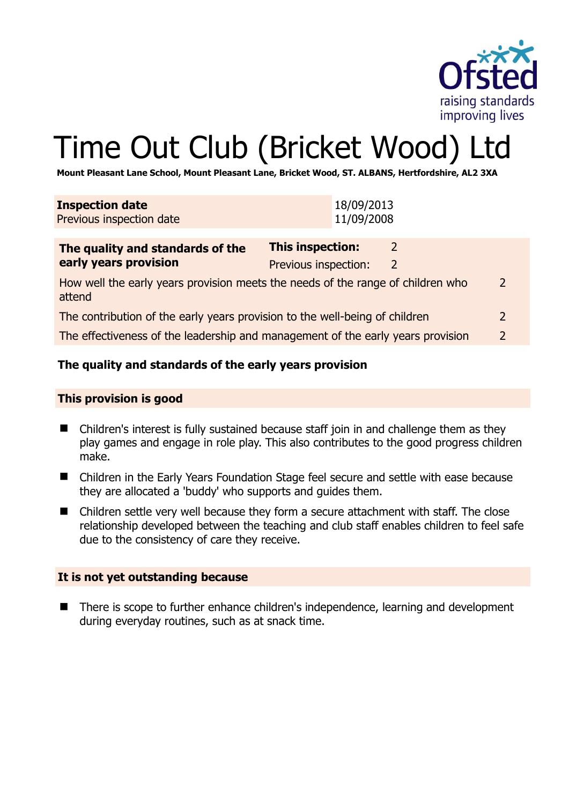

2

# Time Out Club (Bricket Wood) Ltd

**Mount Pleasant Lane School, Mount Pleasant Lane, Bricket Wood, ST. ALBANS, Hertfordshire, AL2 3XA** 

| <b>Inspection date</b><br>Previous inspection date                                                          | 11/09/2008              | 18/09/2013     |                |  |
|-------------------------------------------------------------------------------------------------------------|-------------------------|----------------|----------------|--|
| The quality and standards of the                                                                            | <b>This inspection:</b> | 2              |                |  |
| early years provision                                                                                       | Previous inspection:    | $\overline{2}$ |                |  |
| $\overline{2}$<br>How well the early years provision meets the needs of the range of children who<br>attend |                         |                |                |  |
| The contribution of the early years provision to the well-being of children                                 |                         |                | $\overline{2}$ |  |
| The effectiveness of the leadership and management of the early years provision                             |                         |                | $\overline{2}$ |  |

# **The quality and standards of the early years provision**

#### **This provision is good**

- Children's interest is fully sustained because staff join in and challenge them as they play games and engage in role play. This also contributes to the good progress children make.
- Children in the Early Years Foundation Stage feel secure and settle with ease because they are allocated a 'buddy' who supports and guides them.
- Children settle very well because they form a secure attachment with staff. The close relationship developed between the teaching and club staff enables children to feel safe due to the consistency of care they receive.

#### **It is not yet outstanding because**

■ There is scope to further enhance children's independence, learning and development during everyday routines, such as at snack time.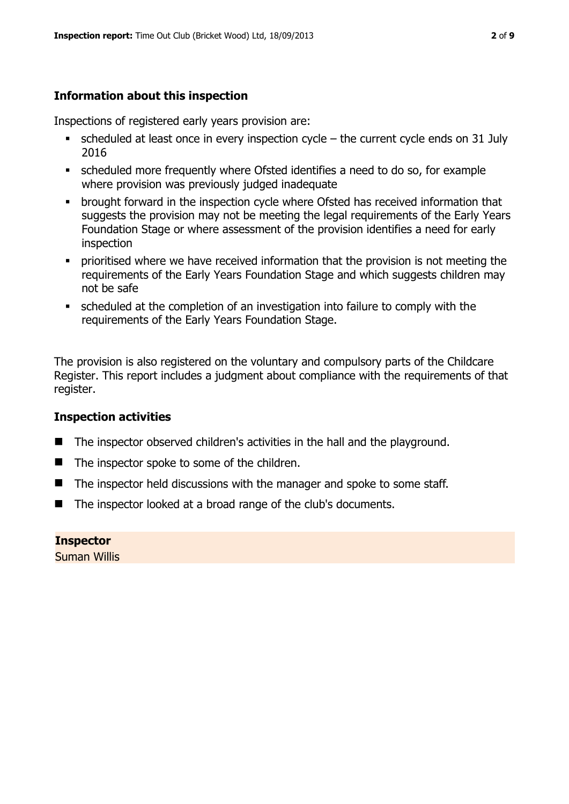# **Information about this inspection**

Inspections of registered early years provision are:

- $\bullet$  scheduled at least once in every inspection cycle the current cycle ends on 31 July 2016
- scheduled more frequently where Ofsted identifies a need to do so, for example where provision was previously judged inadequate
- **•** brought forward in the inspection cycle where Ofsted has received information that suggests the provision may not be meeting the legal requirements of the Early Years Foundation Stage or where assessment of the provision identifies a need for early inspection
- **•** prioritised where we have received information that the provision is not meeting the requirements of the Early Years Foundation Stage and which suggests children may not be safe
- scheduled at the completion of an investigation into failure to comply with the requirements of the Early Years Foundation Stage.

The provision is also registered on the voluntary and compulsory parts of the Childcare Register. This report includes a judgment about compliance with the requirements of that register.

# **Inspection activities**

- The inspector observed children's activities in the hall and the playground.
- $\blacksquare$  The inspector spoke to some of the children.
- The inspector held discussions with the manager and spoke to some staff.
- The inspector looked at a broad range of the club's documents.

**Inspector**  Suman Willis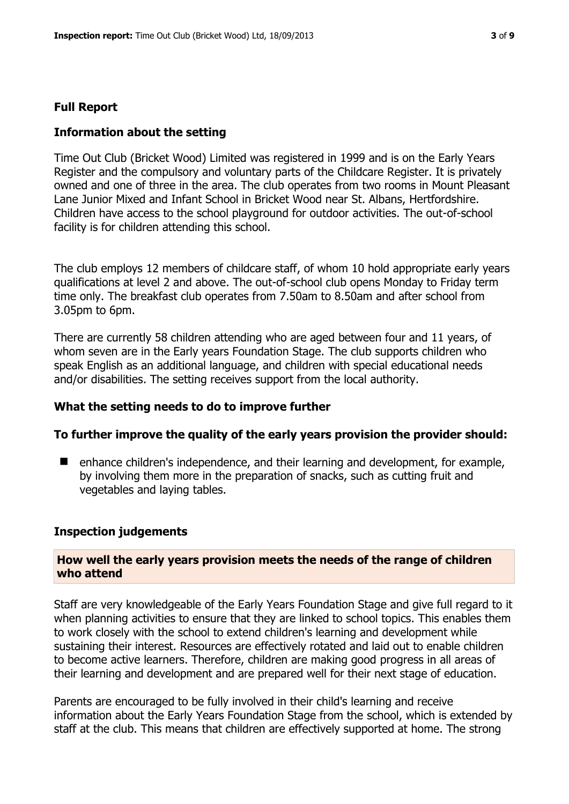#### **Full Report**

#### **Information about the setting**

Time Out Club (Bricket Wood) Limited was registered in 1999 and is on the Early Years Register and the compulsory and voluntary parts of the Childcare Register. It is privately owned and one of three in the area. The club operates from two rooms in Mount Pleasant Lane Junior Mixed and Infant School in Bricket Wood near St. Albans, Hertfordshire. Children have access to the school playground for outdoor activities. The out-of-school facility is for children attending this school.

The club employs 12 members of childcare staff, of whom 10 hold appropriate early years qualifications at level 2 and above. The out-of-school club opens Monday to Friday term time only. The breakfast club operates from 7.50am to 8.50am and after school from 3.05pm to 6pm.

There are currently 58 children attending who are aged between four and 11 years, of whom seven are in the Early years Foundation Stage. The club supports children who speak English as an additional language, and children with special educational needs and/or disabilities. The setting receives support from the local authority.

#### **What the setting needs to do to improve further**

#### **To further improve the quality of the early years provision the provider should:**

■ enhance children's independence, and their learning and development, for example, by involving them more in the preparation of snacks, such as cutting fruit and vegetables and laying tables.

#### **Inspection judgements**

#### **How well the early years provision meets the needs of the range of children who attend**

Staff are very knowledgeable of the Early Years Foundation Stage and give full regard to it when planning activities to ensure that they are linked to school topics. This enables them to work closely with the school to extend children's learning and development while sustaining their interest. Resources are effectively rotated and laid out to enable children to become active learners. Therefore, children are making good progress in all areas of their learning and development and are prepared well for their next stage of education.

Parents are encouraged to be fully involved in their child's learning and receive information about the Early Years Foundation Stage from the school, which is extended by staff at the club. This means that children are effectively supported at home. The strong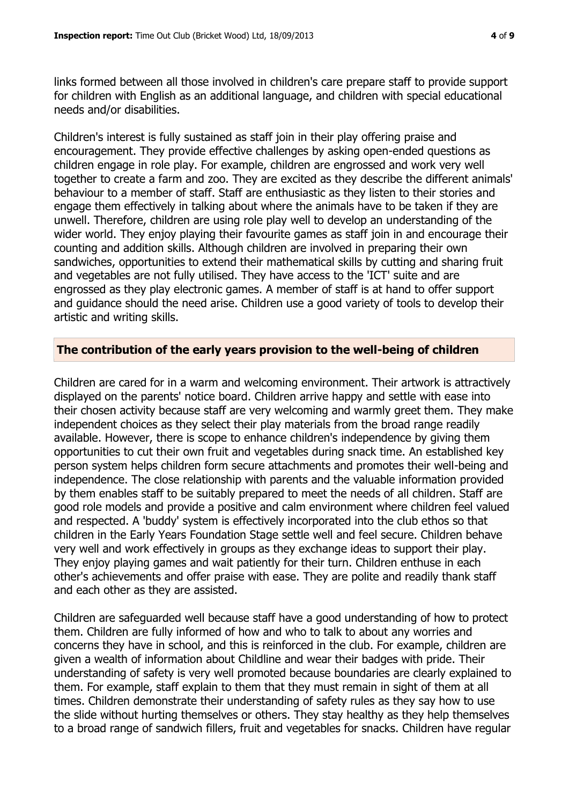links formed between all those involved in children's care prepare staff to provide support for children with English as an additional language, and children with special educational needs and/or disabilities.

Children's interest is fully sustained as staff join in their play offering praise and encouragement. They provide effective challenges by asking open-ended questions as children engage in role play. For example, children are engrossed and work very well together to create a farm and zoo. They are excited as they describe the different animals' behaviour to a member of staff. Staff are enthusiastic as they listen to their stories and engage them effectively in talking about where the animals have to be taken if they are unwell. Therefore, children are using role play well to develop an understanding of the wider world. They enjoy playing their favourite games as staff join in and encourage their counting and addition skills. Although children are involved in preparing their own sandwiches, opportunities to extend their mathematical skills by cutting and sharing fruit and vegetables are not fully utilised. They have access to the 'ICT' suite and are engrossed as they play electronic games. A member of staff is at hand to offer support and guidance should the need arise. Children use a good variety of tools to develop their artistic and writing skills.

#### **The contribution of the early years provision to the well-being of children**

Children are cared for in a warm and welcoming environment. Their artwork is attractively displayed on the parents' notice board. Children arrive happy and settle with ease into their chosen activity because staff are very welcoming and warmly greet them. They make independent choices as they select their play materials from the broad range readily available. However, there is scope to enhance children's independence by giving them opportunities to cut their own fruit and vegetables during snack time. An established key person system helps children form secure attachments and promotes their well-being and independence. The close relationship with parents and the valuable information provided by them enables staff to be suitably prepared to meet the needs of all children. Staff are good role models and provide a positive and calm environment where children feel valued and respected. A 'buddy' system is effectively incorporated into the club ethos so that children in the Early Years Foundation Stage settle well and feel secure. Children behave very well and work effectively in groups as they exchange ideas to support their play. They enjoy playing games and wait patiently for their turn. Children enthuse in each other's achievements and offer praise with ease. They are polite and readily thank staff and each other as they are assisted.

Children are safeguarded well because staff have a good understanding of how to protect them. Children are fully informed of how and who to talk to about any worries and concerns they have in school, and this is reinforced in the club. For example, children are given a wealth of information about Childline and wear their badges with pride. Their understanding of safety is very well promoted because boundaries are clearly explained to them. For example, staff explain to them that they must remain in sight of them at all times. Children demonstrate their understanding of safety rules as they say how to use the slide without hurting themselves or others. They stay healthy as they help themselves to a broad range of sandwich fillers, fruit and vegetables for snacks. Children have regular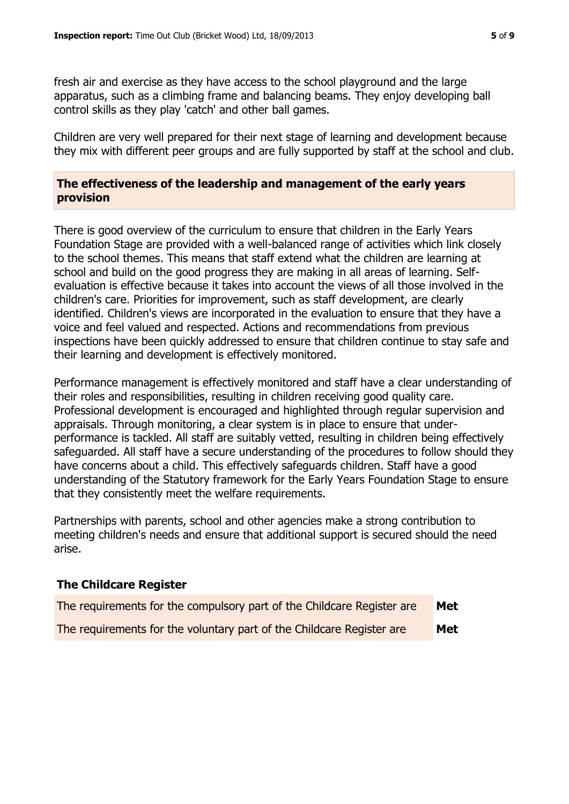fresh air and exercise as they have access to the school playground and the large apparatus, such as a climbing frame and balancing beams. They enjoy developing ball control skills as they play 'catch' and other ball games.

Children are very well prepared for their next stage of learning and development because they mix with different peer groups and are fully supported by staff at the school and club.

**The effectiveness of the leadership and management of the early years provision**

There is good overview of the curriculum to ensure that children in the Early Years Foundation Stage are provided with a well-balanced range of activities which link closely to the school themes. This means that staff extend what the children are learning at school and build on the good progress they are making in all areas of learning. Selfevaluation is effective because it takes into account the views of all those involved in the children's care. Priorities for improvement, such as staff development, are clearly identified. Children's views are incorporated in the evaluation to ensure that they have a voice and feel valued and respected. Actions and recommendations from previous inspections have been quickly addressed to ensure that children continue to stay safe and their learning and development is effectively monitored.

Performance management is effectively monitored and staff have a clear understanding of their roles and responsibilities, resulting in children receiving good quality care. Professional development is encouraged and highlighted through regular supervision and appraisals. Through monitoring, a clear system is in place to ensure that underperformance is tackled. All staff are suitably vetted, resulting in children being effectively safeguarded. All staff have a secure understanding of the procedures to follow should they have concerns about a child. This effectively safeguards children. Staff have a good understanding of the Statutory framework for the Early Years Foundation Stage to ensure that they consistently meet the welfare requirements.

Partnerships with parents, school and other agencies make a strong contribution to meeting children's needs and ensure that additional support is secured should the need arise.

| THE CHILD CATE REGISTER                                                |            |
|------------------------------------------------------------------------|------------|
| The requirements for the compulsory part of the Childcare Register are | <b>Met</b> |
| The requirements for the voluntary part of the Childcare Register are  | Met        |

**The Childcare Register**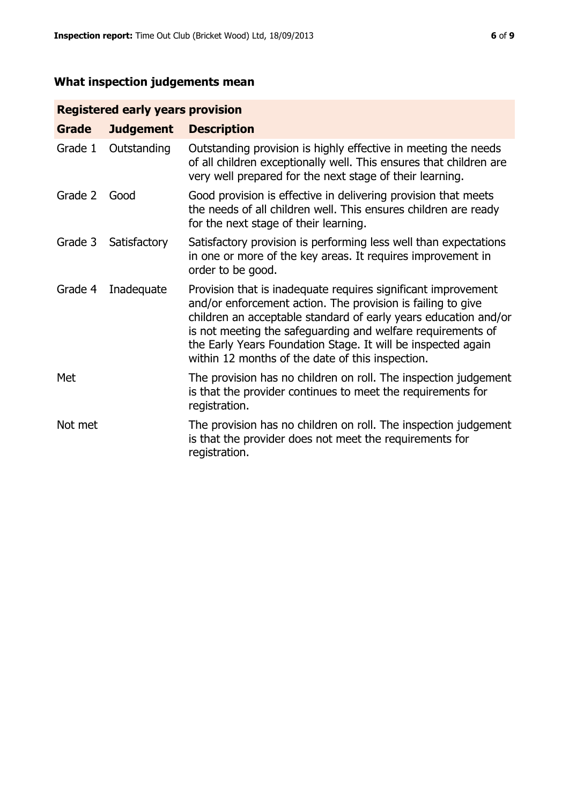# **What inspection judgements mean**

# **Registered early years provision**

| <b>Grade</b> | <b>Judgement</b> | <b>Description</b>                                                                                                                                                                                                                                                                                                                                                                 |
|--------------|------------------|------------------------------------------------------------------------------------------------------------------------------------------------------------------------------------------------------------------------------------------------------------------------------------------------------------------------------------------------------------------------------------|
| Grade 1      | Outstanding      | Outstanding provision is highly effective in meeting the needs<br>of all children exceptionally well. This ensures that children are<br>very well prepared for the next stage of their learning.                                                                                                                                                                                   |
| Grade 2      | Good             | Good provision is effective in delivering provision that meets<br>the needs of all children well. This ensures children are ready<br>for the next stage of their learning.                                                                                                                                                                                                         |
| Grade 3      | Satisfactory     | Satisfactory provision is performing less well than expectations<br>in one or more of the key areas. It requires improvement in<br>order to be good.                                                                                                                                                                                                                               |
| Grade 4      | Inadequate       | Provision that is inadequate requires significant improvement<br>and/or enforcement action. The provision is failing to give<br>children an acceptable standard of early years education and/or<br>is not meeting the safeguarding and welfare requirements of<br>the Early Years Foundation Stage. It will be inspected again<br>within 12 months of the date of this inspection. |
| Met          |                  | The provision has no children on roll. The inspection judgement<br>is that the provider continues to meet the requirements for<br>registration.                                                                                                                                                                                                                                    |
| Not met      |                  | The provision has no children on roll. The inspection judgement<br>is that the provider does not meet the requirements for<br>registration.                                                                                                                                                                                                                                        |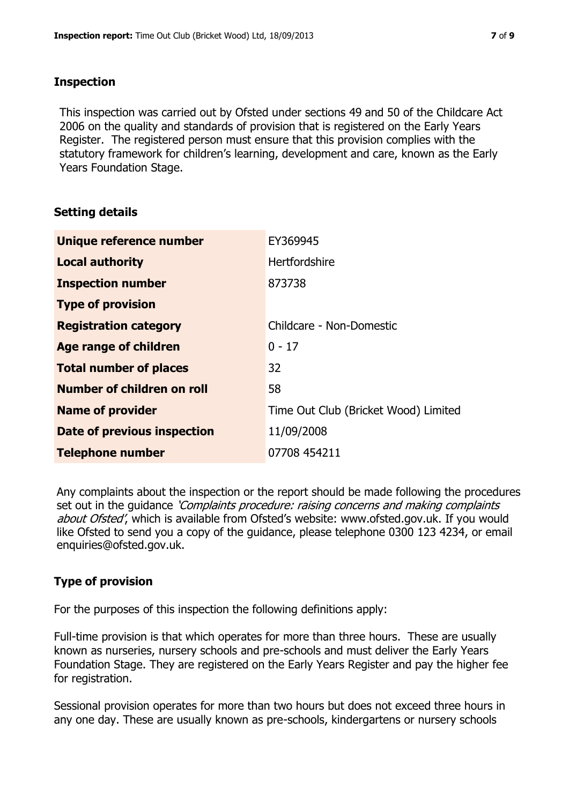### **Inspection**

This inspection was carried out by Ofsted under sections 49 and 50 of the Childcare Act 2006 on the quality and standards of provision that is registered on the Early Years Register. The registered person must ensure that this provision complies with the statutory framework for children's learning, development and care, known as the Early Years Foundation Stage.

# **Setting details**

| Unique reference number       | EY369945                             |
|-------------------------------|--------------------------------------|
| <b>Local authority</b>        | Hertfordshire                        |
| <b>Inspection number</b>      | 873738                               |
| <b>Type of provision</b>      |                                      |
| <b>Registration category</b>  | Childcare - Non-Domestic             |
| Age range of children         | $0 - 17$                             |
| <b>Total number of places</b> | 32                                   |
| Number of children on roll    | 58                                   |
| <b>Name of provider</b>       | Time Out Club (Bricket Wood) Limited |
| Date of previous inspection   | 11/09/2008                           |
| <b>Telephone number</b>       | 07708 454211                         |

Any complaints about the inspection or the report should be made following the procedures set out in the guidance *'Complaints procedure: raising concerns and making complaints* about Ofsted', which is available from Ofsted's website: www.ofsted.gov.uk. If you would like Ofsted to send you a copy of the guidance, please telephone 0300 123 4234, or email enquiries@ofsted.gov.uk.

# **Type of provision**

For the purposes of this inspection the following definitions apply:

Full-time provision is that which operates for more than three hours. These are usually known as nurseries, nursery schools and pre-schools and must deliver the Early Years Foundation Stage. They are registered on the Early Years Register and pay the higher fee for registration.

Sessional provision operates for more than two hours but does not exceed three hours in any one day. These are usually known as pre-schools, kindergartens or nursery schools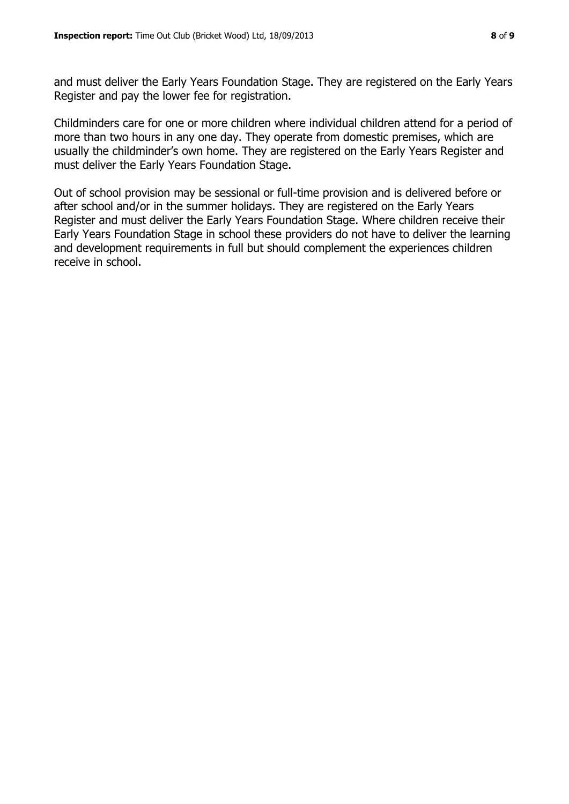and must deliver the Early Years Foundation Stage. They are registered on the Early Years Register and pay the lower fee for registration.

Childminders care for one or more children where individual children attend for a period of more than two hours in any one day. They operate from domestic premises, which are usually the childminder's own home. They are registered on the Early Years Register and must deliver the Early Years Foundation Stage.

Out of school provision may be sessional or full-time provision and is delivered before or after school and/or in the summer holidays. They are registered on the Early Years Register and must deliver the Early Years Foundation Stage. Where children receive their Early Years Foundation Stage in school these providers do not have to deliver the learning and development requirements in full but should complement the experiences children receive in school.